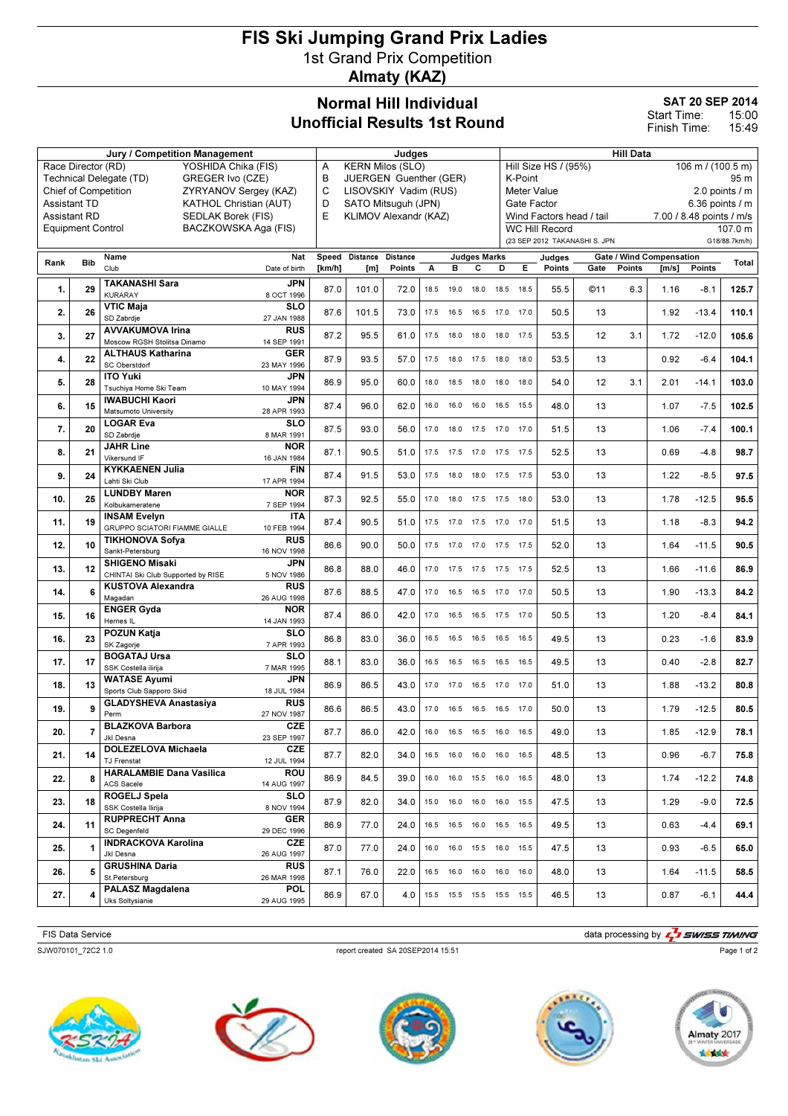## FIS Ski Jumping Grand Prix Ladies 1st Grand Prix Competition Almaty (KAZ)

## Normal Hill Individual Unofficial Results 1st Round

SAT 20 SEP 2014

15:00 15:49 Start Time: Finish Time:

| <b>Jury / Competition Management</b>             |                                                  |                                                             |                           |                             | Judges                       |                                                        |      |           |                              |           | <b>Hill Data</b>                                    |                                                                                          |      |               |                                 |               |         |  |
|--------------------------------------------------|--------------------------------------------------|-------------------------------------------------------------|---------------------------|-----------------------------|------------------------------|--------------------------------------------------------|------|-----------|------------------------------|-----------|-----------------------------------------------------|------------------------------------------------------------------------------------------|------|---------------|---------------------------------|---------------|---------|--|
| Race Director (RD)<br>YOSHIDA Chika (FIS)        |                                                  |                                                             |                           |                             | <b>KERN Milos (SLO)</b><br>Α |                                                        |      |           |                              |           | Hill Size HS / (95%)<br>$106 \text{ m}$ / (100.5 m) |                                                                                          |      |               |                                 |               |         |  |
| Technical Delegate (TD)<br>GREGER Ivo (CZE)      |                                                  |                                                             |                           | В<br>JUERGEN Guenther (GER) |                              |                                                        |      |           |                              |           | K-Point<br>95 m                                     |                                                                                          |      |               |                                 |               |         |  |
|                                                  |                                                  | <b>Chief of Competition</b><br>ZYRYANOV Sergey (KAZ)        |                           | C<br>LISOVSKIY Vadim (RUS)  |                              |                                                        |      |           |                              |           | <b>Meter Value</b><br>$2.0$ points $/ m$            |                                                                                          |      |               |                                 |               |         |  |
|                                                  | <b>Assistant TD</b><br>KATHOL Christian (AUT)    |                                                             |                           |                             |                              | D<br>SATO Mitsuguh (JPN)<br>E<br>KLIMOV Alexandr (KAZ) |      |           |                              |           |                                                     | Gate Factor<br>6.36 points $/$ m<br>Wind Factors head / tail<br>7.00 / 8.48 points / m/s |      |               |                                 |               |         |  |
|                                                  | <b>Assistant RD</b><br><b>SEDLAK Borek (FIS)</b> |                                                             |                           |                             |                              |                                                        |      |           |                              |           |                                                     | <b>WC Hill Record</b>                                                                    |      |               |                                 |               | 107.0 m |  |
| BACZKOWSKA Aga (FIS)<br><b>Equipment Control</b> |                                                  |                                                             |                           |                             |                              |                                                        |      |           |                              |           |                                                     | (23 SEP 2012 TAKANASHI S. JPN                                                            |      |               |                                 | G18/88.7km/h) |         |  |
|                                                  |                                                  | Name                                                        | Nat                       |                             | Speed Distance               | <b>Distance</b>                                        |      |           | <b>Judges Marks</b>          |           |                                                     |                                                                                          |      |               | <b>Gate / Wind Compensation</b> |               |         |  |
| Rank                                             | <b>Bib</b>                                       | Club                                                        | Date of birth             | [km/h]                      | [m]                          | Points                                                 | А    | в         | С                            | D         | Е                                                   | Judges<br><b>Points</b>                                                                  | Gate | <b>Points</b> | [m/s]                           | <b>Points</b> | Total   |  |
|                                                  |                                                  | <b>TAKANASHI Sara</b>                                       | <b>JPN</b>                |                             |                              |                                                        |      |           |                              |           |                                                     |                                                                                          |      |               |                                 |               |         |  |
| 1.                                               | 29                                               | <b>KURARAY</b>                                              | 8 OCT 1996                | 87.0                        | 101.0                        | 72.0                                                   | 18.5 | 19.0      | 18.0                         | 18.5 18.5 |                                                     | 55.5                                                                                     | @11  | 6.3           | 1.16                            | $-8.1$        | 125.7   |  |
| 2.                                               | 26                                               | <b>VTIC Maja</b>                                            | SLO                       | 87.6                        | 101.5                        | 73.0                                                   | 17.5 |           | 16.5 16.5                    | 17.0 17.0 |                                                     | 50.5                                                                                     | 13   |               | 1.92                            | $-13.4$       | 110.1   |  |
|                                                  |                                                  | SD Zabrdje<br><b>AVVAKUMOVA Irina</b>                       | 27 JAN 1988               |                             |                              |                                                        |      |           |                              |           |                                                     |                                                                                          |      |               |                                 |               |         |  |
| 3.                                               | 27                                               | Moscow RGSH Stolitsa Dinamo                                 | <b>RUS</b><br>14 SEP 1991 | 87.2                        | 95.5                         | 61.0                                                   | 17.5 | 18.0 18.0 |                              | 18.0 17.5 |                                                     | 53.5                                                                                     | 12   | 3.1           | 1.72                            | $-12.0$       | 105.6   |  |
|                                                  |                                                  | <b>ALTHAUS Katharina</b>                                    | <b>GER</b>                |                             |                              |                                                        |      |           |                              |           |                                                     |                                                                                          |      |               |                                 |               |         |  |
| 4.                                               | 22                                               | SC Oberstdorf                                               | 23 MAY 1996               | 87.9                        | 93.5                         | 57.0                                                   | 17.5 | 18.0 17.5 |                              | 18.0      | 18.0                                                | 53.5                                                                                     | 13   |               | 0.92                            | $-6.4$        | 104.1   |  |
| 5.                                               | 28                                               | <b>ITO Yuki</b>                                             | JPN                       | 86.9                        | 95.0                         | 60.0                                                   | 18.0 | 18.5      | 18.0                         | 18.0      | 18.0                                                | 54.0                                                                                     | 12   | 3.1           | 2.01                            | $-14.1$       | 103.0   |  |
|                                                  |                                                  | Tsuchiya Home Ski Team<br><b>IWABUCHI Kaori</b>             | 10 MAY 1994<br>JPN        |                             |                              |                                                        |      |           |                              |           |                                                     |                                                                                          |      |               |                                 |               |         |  |
| 6.                                               | 15                                               | Matsumoto University                                        | 28 APR 1993               | 87.4                        | 96.0                         | 62.0                                                   | 16.0 |           | 16.0 16.0                    | 16.5 15.5 |                                                     | 48.0                                                                                     | 13   |               | 1.07                            | $-7.5$        | 102.5   |  |
| 7.                                               | 20                                               | <b>LOGAR Eva</b>                                            | <b>SLO</b>                | 87.5                        | 93.0                         | 56.0                                                   | 17.0 |           | 18.0 17.5                    | 17.0      | 17.0                                                | 51.5                                                                                     | 13   |               | 1.06                            | $-7.4$        | 100.1   |  |
|                                                  |                                                  | SD Zabrdje                                                  | 8 MAR 1991                |                             |                              |                                                        |      |           |                              |           |                                                     |                                                                                          |      |               |                                 |               |         |  |
| 8.                                               | 21                                               | <b>JAHR Line</b><br>Vikersund IF                            | <b>NOR</b><br>16 JAN 1984 | 87.1                        | 90.5                         | 51.0                                                   | 17.5 | 17.5 17.0 |                              | 17.5      | 17.5                                                | 52.5                                                                                     | 13   |               | 0.69                            | $-4.8$        | 98.7    |  |
|                                                  |                                                  | <b>KYKKAENEN Julia</b>                                      | <b>FIN</b>                |                             |                              |                                                        |      |           |                              |           |                                                     |                                                                                          |      |               |                                 |               |         |  |
| 9.                                               | 24                                               | Lahti Ski Club                                              | 17 APR 1994               | 87.4                        | 91.5                         | 53.0                                                   | 17.5 |           | 18.0 18.0                    | 17.5 17.5 |                                                     | 53.0                                                                                     | 13   |               | 1.22                            | $-8.5$        | 97.5    |  |
| 10.                                              | 25                                               | <b>LUNDBY Maren</b>                                         | <b>NOR</b>                | 87.3                        | 92.5                         | 55.0                                                   | 17.0 |           | 18.0 17.5 17.5 18.0          |           |                                                     | 53.0                                                                                     | 13   |               | 1.78                            | $-12.5$       | 95.5    |  |
|                                                  |                                                  | Kolbukameratene<br><b>INSAM Evelyn</b>                      | 7 SEP 1994<br><b>ITA</b>  |                             |                              |                                                        |      |           |                              |           |                                                     |                                                                                          |      |               |                                 |               |         |  |
| 11.                                              | 19                                               | GRUPPO SCIATORI FIAMME GIALLE                               | 10 FEB 1994               | 87.4                        | 90.5                         | 51.0                                                   |      |           | 17.5 17.0 17.5 17.0 17.0     |           |                                                     | 51.5                                                                                     | 13   |               | 1.18                            | $-8.3$        | 94.2    |  |
| 12.                                              | 10                                               | <b>TIKHONOVA Sofya</b>                                      | <b>RUS</b>                | 86.6                        | 90.0                         | 50.0                                                   |      |           | 17.5 17.0 17.0 17.5 17.5     |           |                                                     | 52.0                                                                                     | 13   |               | 1.64                            | $-11.5$       | 90.5    |  |
|                                                  |                                                  | Sankt-Petersburg                                            | 16 NOV 1998               |                             |                              |                                                        |      |           |                              |           |                                                     |                                                                                          |      |               |                                 |               |         |  |
| 13.                                              | 12                                               | <b>SHIGENO Misaki</b><br>CHINTAI Ski Club Supported by RISE | JPN<br>5 NOV 1986         | 86.8                        | 88.0                         | 46.0                                                   |      |           | 17.0  17.5  17.5  17.5  17.5 |           |                                                     | 52.5                                                                                     | 13   |               | 1.66                            | $-11.6$       | 86.9    |  |
|                                                  |                                                  | <b>KUSTOVA Alexandra</b>                                    | <b>RUS</b>                |                             |                              |                                                        |      |           |                              |           |                                                     |                                                                                          |      |               |                                 |               |         |  |
| 14.                                              | 6                                                | Magadan                                                     | 26 AUG 1998               | 87.6                        | 88.5                         | 47.0                                                   | 17.0 |           | 16.5 16.5 17.0 17.0          |           |                                                     | 50.5                                                                                     | 13   |               | 1.90                            | $-13.3$       | 84.2    |  |
| 15.                                              | 16                                               | <b>ENGER Gyda</b>                                           | <b>NOR</b>                | 87.4                        | 86.0                         | 42.0                                                   | 17.0 |           | 16.5 16.5 17.5 17.0          |           |                                                     | 50.5                                                                                     | 13   |               | 1.20                            | $-8.4$        | 84.1    |  |
|                                                  |                                                  | Hernes IL<br><b>POZUN Katja</b>                             | 14 JAN 1993<br>SLO        |                             |                              |                                                        |      |           |                              |           |                                                     |                                                                                          |      |               |                                 |               |         |  |
| 16.                                              | 23                                               | SK Zagorje                                                  | 7 APR 1993                | 86.8                        | 83.0                         | 36.0                                                   | 16.5 |           | 16.5 16.5                    | 16.5 16.5 |                                                     | 49.5                                                                                     | 13   |               | 0.23                            | $-1.6$        | 83.9    |  |
| 17.                                              | 17                                               | <b>BOGATAJ Ursa</b>                                         | SLO                       | 88.1                        | 83.0                         | 36.0                                                   | 16.5 |           | 16.5 16.5                    | 16.5      | 16.5                                                | 49.5                                                                                     | 13   |               | 0.40                            | $-2.8$        | 82.7    |  |
|                                                  |                                                  | SSK Costella ilirija                                        | 7 MAR 1995                |                             |                              |                                                        |      |           |                              |           |                                                     |                                                                                          |      |               |                                 |               |         |  |
| 18.                                              | 13                                               | <b>WATASE Ayumi</b><br>Sports Club Sapporo Skid             | JPN<br>18 JUL 1984        | 86.9                        | 86.5                         | 43.0                                                   | 17.0 |           | 17.0  16.5  17.0  17.0       |           |                                                     | 51.0                                                                                     | 13   |               | 1.88                            | $-13.2$       | 80.8    |  |
|                                                  | 9                                                | <b>GLADYSHEVA Anastasiya</b>                                | <b>RUS</b>                |                             |                              |                                                        |      |           |                              |           |                                                     |                                                                                          |      |               |                                 |               |         |  |
| 19.                                              |                                                  | Perm                                                        | 27 NOV 1987               | 86.6                        | 86.5                         | 43.0                                                   | 17.0 | 16.5      | 16.5                         | 16.5      | 17.0                                                | 50.0                                                                                     | 13   |               | 1.79                            | $-12.5$       | 80.5    |  |
| 20.                                              | 7                                                | <b>BLAZKOVA Barbora</b>                                     | <b>CZE</b>                | 87.7                        | 86.0                         | 42.0                                                   |      |           | 16.0  16.5  16.5  16.0  16.5 |           |                                                     | 49.0                                                                                     | 13   |               | 1.85                            | $-12.9$       | 78.1    |  |
|                                                  |                                                  | Jkl Desna<br>DOLEZELOVA Michaela                            | 23 SEP 1997<br><b>CZE</b> |                             |                              |                                                        |      |           |                              |           |                                                     |                                                                                          |      |               |                                 |               |         |  |
| 21.                                              | 14                                               | TJ Frenstat                                                 | 12 JUL 1994               | 87.7                        | 82.0                         | 34.0                                                   |      |           | 16.5 16.0 16.0 16.0 16.5     |           |                                                     | 48.5                                                                                     | 13   |               | 0.96                            | $-6.7$        | 75.8    |  |
| 22.                                              | 8                                                | <b>HARALAMBIE Dana Vasilica</b>                             | <b>ROU</b>                | 86.9                        | 84.5                         | 39.0                                                   | 16.0 |           | 16.0  15.5  16.0  16.5       |           |                                                     | 48.0                                                                                     | 13   |               | 1.74                            | $-12.2$       | 74.8    |  |
|                                                  |                                                  | <b>ACS Sacele</b>                                           | 14 AUG 1997               |                             |                              |                                                        |      |           |                              |           |                                                     |                                                                                          |      |               |                                 |               |         |  |
| 23.                                              | 18                                               | ROGELJ Spela<br>SSK Costella Ilirija                        | <b>SLO</b><br>8 NOV 1994  | 87.9                        | 82.0                         | 34.0                                                   | 15.0 |           | 16.0  16.0  16.0  15.5       |           |                                                     | 47.5                                                                                     | 13   |               | 1.29                            | $-9.0$        | 72.5    |  |
|                                                  |                                                  | <b>RUPPRECHT Anna</b>                                       | <b>GER</b>                |                             |                              |                                                        |      |           |                              |           |                                                     |                                                                                          |      |               |                                 |               |         |  |
| 24.                                              | 11                                               | <b>SC Degenfeld</b>                                         | 29 DEC 1996               | 86.9                        | 77.0                         | 24.0                                                   |      |           | 16.5 16.5 16.0 16.5 16.5     |           |                                                     | 49.5                                                                                     | 13   |               | 0.63                            | $-4.4$        | 69.1    |  |
| 25.                                              |                                                  | <b>INDRACKOVA Karolina</b>                                  | <b>CZE</b>                | 87.0                        | 77.0                         | 24.0                                                   |      |           | 16.0  16.0  15.5  16.0  15.5 |           |                                                     | 47.5                                                                                     | 13   |               | 0.93                            | $-6.5$        | 65.0    |  |
|                                                  |                                                  | Jkl Desna<br><b>GRUSHINA Daria</b>                          | 26 AUG 1997<br><b>RUS</b> |                             |                              |                                                        |      |           |                              |           |                                                     |                                                                                          |      |               |                                 |               |         |  |
| 26.                                              | 5                                                | St.Petersburg                                               | 26 MAR 1998               | 87.1                        | 76.0                         | 22.0                                                   |      |           | 16.5 16.0 16.0 16.0 16.0     |           |                                                     | 48.0                                                                                     | 13   |               | 1.64                            | $-11.5$       | 58.5    |  |
| 27.                                              |                                                  | <b>PALASZ Magdalena</b>                                     | POL                       | 86.9                        | 67.0                         | 4.0                                                    |      |           | 15.5 15.5 15.5 15.5 15.5     |           |                                                     | 46.5                                                                                     | 13   |               | 0.87                            | $-6.1$        | 44.4    |  |
|                                                  |                                                  | Uks Soltysianie                                             | 29 AUG 1995               |                             |                              |                                                        |      |           |                              |           |                                                     |                                                                                          |      |               |                                 |               |         |  |

SJW070101\_72C2 1.0 report created SA 20SEP2014 15:51

FIS Data Service data processing by  $\frac{7}{4}$  SWISS TIMING

Page 1 of 2